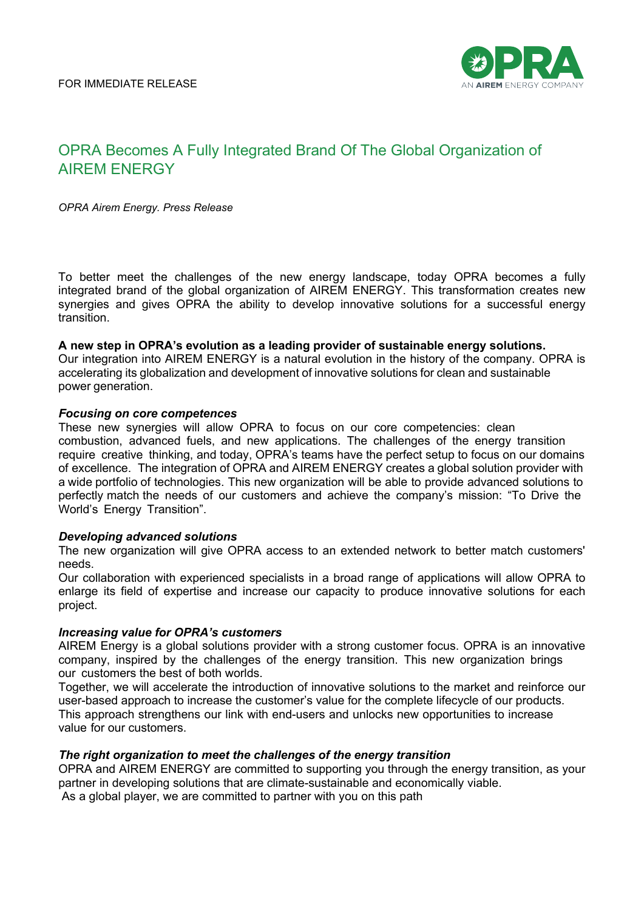

# OPRA Becomes A Fully Integrated Brand Of The Global Organization of AIREM ENERGY

*OPRA Airem Energy. Press Release* 

To better meet the challenges of the new energy landscape, today OPRA becomes a fully integrated brand of the global organization of AIREM ENERGY. This transformation creates new synergies and gives OPRA the ability to develop innovative solutions for a successful energy transition.

#### **A new step in OPRA's evolution as a leading provider of sustainable energy solutions.**

Our integration into AIREM ENERGY is a natural evolution in the history of the company. OPRA is accelerating its globalization and development of innovative solutions for clean and sustainable power generation.

#### *Focusing on core competences*

These new synergies will allow OPRA to focus on our core competencies: clean combustion, advanced fuels, and new applications. The challenges of the energy transition require creative thinking, and today, OPRA's teams have the perfect setup to focus on our domains of excellence. The integration of OPRA and AIREM ENERGY creates a global solution provider with a wide portfolio of technologies. This new organization will be able to provide advanced solutions to perfectly match the needs of our customers and achieve the company's mission: "To Drive the World's Energy Transition".

#### *Developing advanced solutions*

The new organization will give OPRA access to an extended network to better match customers' needs.

Our collaboration with experienced specialists in a broad range of applications will allow OPRA to enlarge its field of expertise and increase our capacity to produce innovative solutions for each project.

### *Increasing value for OPRA's customers*

AIREM Energy is a global solutions provider with a strong customer focus. OPRA is an innovative company, inspired by the challenges of the energy transition. This new organization brings our customers the best of both worlds.

Together, we will accelerate the introduction of innovative solutions to the market and reinforce our user-based approach to increase the customer's value for the complete lifecycle of our products. This approach strengthens our link with end-users and unlocks new opportunities to increase value for our customers.

#### *The right organization to meet the challenges of the energy transition*

OPRA and AIREM ENERGY are committed to supporting you through the energy transition, as your partner in developing solutions that are climate-sustainable and economically viable. As a global player, we are committed to partner with you on this path